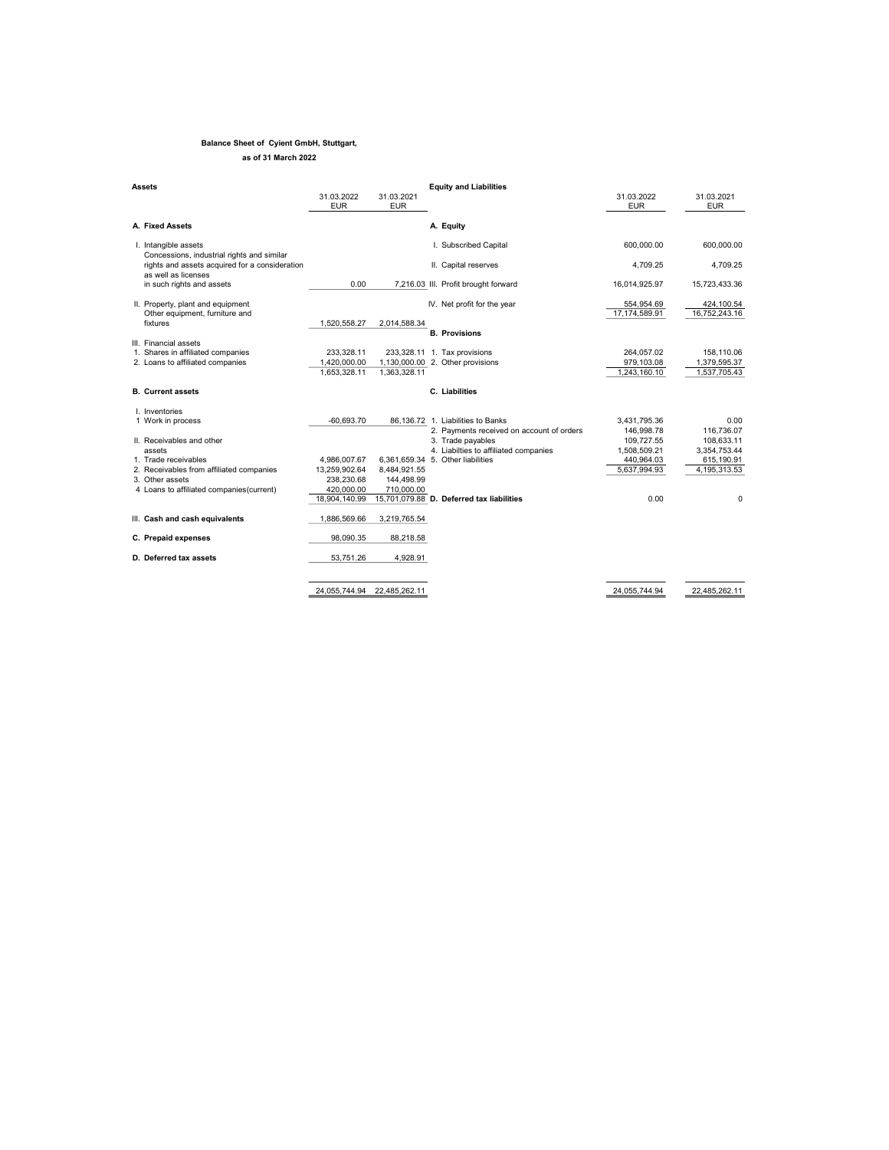## Balance Sheet of Cyient GmbH, Stuttgart, as of 31 March 2022

| Assets                                                                |                          |                          | <b>Equity and Liabilities</b>             |                             |                             |
|-----------------------------------------------------------------------|--------------------------|--------------------------|-------------------------------------------|-----------------------------|-----------------------------|
|                                                                       | 31.03.2022<br><b>EUR</b> | 31.03.2021<br><b>EUR</b> |                                           | 31.03.2022<br><b>EUR</b>    | 31.03.2021<br><b>EUR</b>    |
| A. Fixed Assets                                                       |                          |                          | A. Equity                                 |                             |                             |
| I. Intangible assets<br>Concessions, industrial rights and similar    |                          |                          | I. Subscribed Capital                     | 600.000.00                  | 600,000.00                  |
| rights and assets acquired for a consideration<br>as well as licenses |                          |                          | II. Capital reserves                      | 4.709.25                    | 4.709.25                    |
| in such rights and assets                                             | 0.00                     |                          | 7,216.03 III. Profit brought forward      | 16.014.925.97               | 15,723,433.36               |
| II. Property, plant and equipment<br>Other equipment, furniture and   |                          |                          | IV. Net profit for the year               | 554,954.69<br>17.174.589.91 | 424,100.54<br>16.752.243.16 |
| fixtures                                                              | 1.520.558.27             | 2.014.588.34             |                                           |                             |                             |
|                                                                       |                          |                          | <b>B.</b> Provisions                      |                             |                             |
| III. Financial assets<br>1. Shares in affiliated companies            | 233,328.11               |                          | 233,328.11 1. Tax provisions              | 264,057.02                  | 158,110.06                  |
| 2. Loans to affiliated companies                                      | 1,420,000.00             |                          | 1,130,000.00 2. Other provisions          | 979,103.08                  | 1,379,595.37                |
|                                                                       | 1.653.328.11             | 1.363.328.11             |                                           | 1,243,160.10                | 1,537,705.43                |
| <b>B.</b> Current assets                                              |                          |                          | C. Liabilities                            |                             |                             |
| I. Inventories                                                        |                          |                          |                                           |                             |                             |
| 1 Work in process                                                     | $-60.693.70$             |                          | 86.136.72 1. Liabilities to Banks         | 3,431,795.36                | 0.00                        |
|                                                                       |                          |                          | 2. Payments received on account of orders | 146,998.78                  | 116.736.07                  |
| II. Receivables and other                                             |                          |                          | 3. Trade payables                         | 109,727.55                  | 108,633.11                  |
| assets                                                                |                          |                          | 4. Liabilties to affiliated companies     | 1,508,509.21                | 3,354,753.44                |
| 1. Trade receivables                                                  | 4,986,007.67             |                          | 6,361,659.34 5. Other liabilities         | 440,964.03                  | 615,190.91                  |
| 2. Receivables from affiliated companies                              | 13.259.902.64            | 8,484,921.55             |                                           | 5.637.994.93                | 4,195,313.53                |
| 3. Other assets                                                       | 238.230.68               | 144,498.99               |                                           |                             |                             |
| 4 Loans to affiliated companies (current)                             | 420,000.00               | 710,000.00               |                                           |                             |                             |
|                                                                       | 18,904,140.99            |                          | 15,701,079.88 D. Deferred tax liabilities | 0.00                        | 0                           |
| III. Cash and cash equivalents                                        | 1,886,569.66             | 3,219,765.54             |                                           |                             |                             |
| C. Prepaid expenses                                                   | 98.090.35                | 88,218.58                |                                           |                             |                             |
| D. Deferred tax assets                                                | 53.751.26                | 4.928.91                 |                                           |                             |                             |
|                                                                       |                          |                          |                                           |                             |                             |
|                                                                       | 24.055.744.94            | 22,485,262.11            |                                           | 24,055,744.94               | 22.485.262.11               |